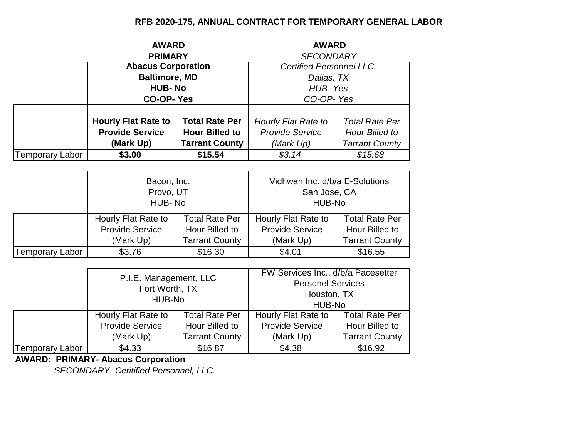## **RFB 2020-175, ANNUAL CONTRACT FOR TEMPORARY GENERAL LABOR**

|                        | <b>AWARD</b>                                                       |                       | <b>AWARD</b>           |                                 |  |
|------------------------|--------------------------------------------------------------------|-----------------------|------------------------|---------------------------------|--|
|                        | <b>PRIMARY</b>                                                     |                       | <b>SECONDARY</b>       |                                 |  |
|                        | <b>Abacus Corporation</b><br><b>Baltimore, MD</b><br><b>HUB-No</b> |                       |                        | <b>Certified Personnel LLC.</b> |  |
|                        |                                                                    |                       |                        | Dallas, TX                      |  |
|                        |                                                                    |                       | HUB-Yes                |                                 |  |
|                        | <b>CO-OP-Yes</b>                                                   |                       | CO-OP-Yes              |                                 |  |
|                        |                                                                    |                       |                        |                                 |  |
|                        | <b>Hourly Flat Rate to</b>                                         | <b>Total Rate Per</b> | Hourly Flat Rate to    | <b>Total Rate Per</b>           |  |
|                        | <b>Provide Service</b><br><b>Hour Billed to</b>                    |                       | <b>Provide Service</b> | Hour Billed to                  |  |
|                        | (Mark Up)                                                          | <b>Tarrant County</b> | (Mark Up)              | <b>Tarrant County</b>           |  |
| <b>Temporary Labor</b> | \$3.00                                                             | \$15.54               | \$3.14                 | \$15.68                         |  |

|                        | Bacon, Inc.<br>Provo, UT<br>HUB-No                                                                                             |         | Vidhwan Inc. d/b/a E-Solutions<br>San Jose, CA<br>HUB-No |                       |
|------------------------|--------------------------------------------------------------------------------------------------------------------------------|---------|----------------------------------------------------------|-----------------------|
|                        | <b>Total Rate Per</b><br>Hourly Flat Rate to<br><b>Provide Service</b><br>Hour Billed to<br><b>Tarrant County</b><br>(Mark Up) |         | Hourly Flat Rate to                                      | <b>Total Rate Per</b> |
|                        |                                                                                                                                |         | <b>Provide Service</b>                                   | Hour Billed to        |
|                        |                                                                                                                                |         | (Mark Up)                                                | <b>Tarrant County</b> |
| <b>Temporary Labor</b> | \$3.76                                                                                                                         | \$16.30 | \$4.01                                                   | \$16.55               |

|                 | P.I.E. Management, LLC<br>Fort Worth, TX<br>HUB-No |                       | FW Services Inc., d/b/a Pacesetter<br><b>Personel Services</b><br>Houston, TX<br>HUB-No |                       |
|-----------------|----------------------------------------------------|-----------------------|-----------------------------------------------------------------------------------------|-----------------------|
|                 | <b>Total Rate Per</b><br>Hourly Flat Rate to       |                       | Hourly Flat Rate to                                                                     | <b>Total Rate Per</b> |
|                 | <b>Provide Service</b>                             | Hour Billed to        | <b>Provide Service</b>                                                                  | Hour Billed to        |
|                 | (Mark Up)                                          | <b>Tarrant County</b> | (Mark Up)                                                                               | <b>Tarrant County</b> |
| Temporary Labor | \$4.33                                             | \$16.87               | \$4.38                                                                                  | \$16.92               |

**AWARD: PRIMARY- Abacus Corporation**

*SECONDARY- Ceritified Personnel, LLC.*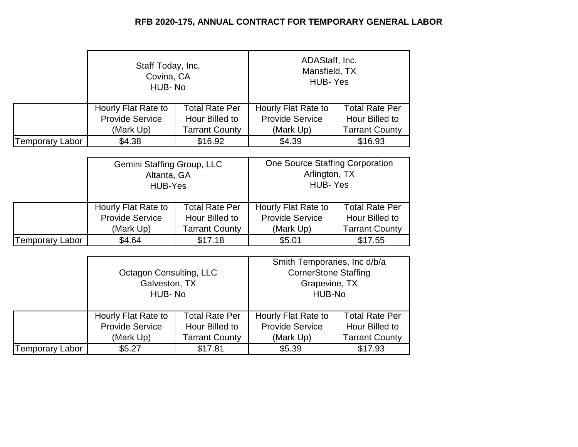## **RFB 2020-175, ANNUAL CONTRACT FOR TEMPORARY GENERAL LABOR**

|                 | Staff Today, Inc.<br>Covina, CA<br>HUB-No |                       | ADAStaff, Inc.<br>Mansfield, TX<br>HUB-Yes |                       |
|-----------------|-------------------------------------------|-----------------------|--------------------------------------------|-----------------------|
|                 | Hourly Flat Rate to                       | <b>Total Rate Per</b> | Hourly Flat Rate to                        | <b>Total Rate Per</b> |
|                 | <b>Provide Service</b>                    | Hour Billed to        | <b>Provide Service</b>                     | Hour Billed to        |
|                 | <b>Tarrant County</b><br>(Mark Up)        |                       | (Mark Up)                                  | <b>Tarrant County</b> |
| Temporary Labor | \$4.38                                    | \$16.92               | \$4.39                                     | \$16.93               |

|                 | Gemini Staffing Group, LLC<br>Altanta, GA<br>HUB-Yes |                | One Source Staffing Corporation<br>Arlington, TX<br><b>HUB-Yes</b> |                       |
|-----------------|------------------------------------------------------|----------------|--------------------------------------------------------------------|-----------------------|
|                 | <b>Total Rate Per</b><br>Hourly Flat Rate to         |                | Hourly Flat Rate to                                                | <b>Total Rate Per</b> |
|                 | <b>Provide Service</b>                               | Hour Billed to | <b>Provide Service</b>                                             | Hour Billed to        |
|                 | <b>Tarrant County</b><br>(Mark Up)                   |                | (Mark Up)                                                          | <b>Tarrant County</b> |
| Temporary Labor | \$4.64                                               | \$17.18        | \$5.01                                                             | \$17.55               |

|                 | Octagon Consulting, LLC<br>Galveston, TX<br>HUB-No |                       | Smith Temporaries, Inc d/b/a<br><b>CornerStone Staffing</b><br>Grapevine, TX<br>HUB-No |                       |
|-----------------|----------------------------------------------------|-----------------------|----------------------------------------------------------------------------------------|-----------------------|
|                 | Hourly Flat Rate to                                | <b>Total Rate Per</b> | Hourly Flat Rate to                                                                    | <b>Total Rate Per</b> |
|                 | <b>Provide Service</b>                             | Hour Billed to        | <b>Provide Service</b>                                                                 | Hour Billed to        |
|                 | (Mark Up)                                          | <b>Tarrant County</b> | (Mark Up)                                                                              | <b>Tarrant County</b> |
| Temporary Labor | \$5.27                                             | \$17.81               | \$5.39                                                                                 | \$17.93               |